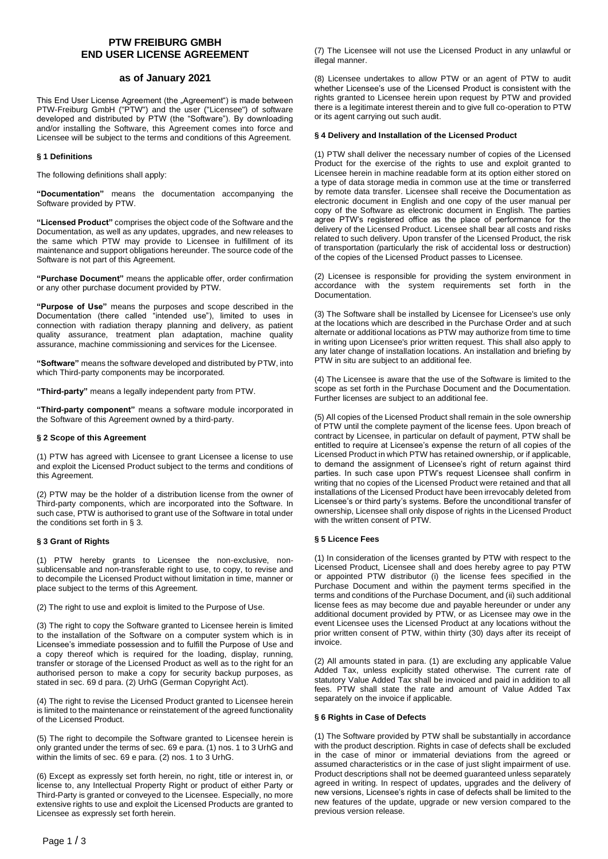# **PTW FREIBURG GMBH END USER LICENSE AGREEMENT**

# **as of January 2021**

This End User License Agreement (the "Agreement") is made between PTW-Freiburg GmbH ("PTW") and the user ("Licensee") of software developed and distributed by PTW (the "Software"). By downloading and/or installing the Software, this Agreement comes into force and Licensee will be subject to the terms and conditions of this Agreement.

## **§ 1 Definitions**

The following definitions shall apply:

**"Documentation"** means the documentation accompanying the Software provided by PTW.

**"Licensed Product"** comprises the object code of the Software and the Documentation, as well as any updates, upgrades, and new releases to the same which PTW may provide to Licensee in fulfillment of its maintenance and support obligations hereunder. The source code of the Software is not part of this Agreement.

**"Purchase Document"** means the applicable offer, order confirmation or any other purchase document provided by PTW.

**"Purpose of Use"** means the purposes and scope described in the Documentation (there called "intended use"), limited to uses in connection with radiation therapy planning and delivery, as patient quality assurance, treatment plan adaptation, machine quality assurance, machine commissioning and services for the Licensee.

**"Software"** means the software developed and distributed by PTW, into which Third-party components may be incorporated.

**"Third-party"** means a legally independent party from PTW.

**"Third-party component"** means a software module incorporated in the Software of this Agreement owned by a third-party.

# **§ 2 Scope of this Agreement**

(1) PTW has agreed with Licensee to grant Licensee a license to use and exploit the Licensed Product subject to the terms and conditions of this Agreement.

(2) PTW may be the holder of a distribution license from the owner of Third-party components, which are incorporated into the Software. In such case, PTW is authorised to grant use of the Software in total under the conditions set forth in § 3.

# **§ 3 Grant of Rights**

(1) PTW hereby grants to Licensee the non-exclusive, nonsublicensable and non-transferable right to use, to copy, to revise and to decompile the Licensed Product without limitation in time, manner or place subject to the terms of this Agreement.

(2) The right to use and exploit is limited to the Purpose of Use.

(3) The right to copy the Software granted to Licensee herein is limited to the installation of the Software on a computer system which is in Licensee's immediate possession and to fulfill the Purpose of Use and a copy thereof which is required for the loading, display, running, transfer or storage of the Licensed Product as well as to the right for an authorised person to make a copy for security backup purposes, as stated in sec. 69 d para. (2) UrhG (German Copyright Act).

(4) The right to revise the Licensed Product granted to Licensee herein is limited to the maintenance or reinstatement of the agreed functionality of the Licensed Product.

(5) The right to decompile the Software granted to Licensee herein is only granted under the terms of sec. 69 e para. (1) nos. 1 to 3 UrhG and within the limits of sec. 69 e para. (2) nos. 1 to 3 UrhG.

(6) Except as expressly set forth herein, no right, title or interest in, or license to, any Intellectual Property Right or product of either Party or Third-Party is granted or conveyed to the Licensee. Especially, no more extensive rights to use and exploit the Licensed Products are granted to Licensee as expressly set forth herein.

(7) The Licensee will not use the Licensed Product in any unlawful or illegal manner.

(8) Licensee undertakes to allow PTW or an agent of PTW to audit whether Licensee's use of the Licensed Product is consistent with the rights granted to Licensee herein upon request by PTW and provided there is a legitimate interest therein and to give full co-operation to PTW or its agent carrying out such audit.

## **§ 4 Delivery and Installation of the Licensed Product**

(1) PTW shall deliver the necessary number of copies of the Licensed Product for the exercise of the rights to use and exploit granted to Licensee herein in machine readable form at its option either stored on a type of data storage media in common use at the time or transferred by remote data transfer. Licensee shall receive the Documentation as electronic document in English and one copy of the user manual per copy of the Software as electronic document in English. The parties agree PTW's registered office as the place of performance for the delivery of the Licensed Product. Licensee shall bear all costs and risks related to such delivery. Upon transfer of the Licensed Product, the risk of transportation (particularly the risk of accidental loss or destruction) of the copies of the Licensed Product passes to Licensee.

(2) Licensee is responsible for providing the system environment in accordance with the system requirements set forth in the Documentation.

(3) The Software shall be installed by Licensee for Licensee's use only at the locations which are described in the Purchase Order and at such alternate or additional locations as PTW may authorize from time to time in writing upon Licensee's prior written request. This shall also apply to any later change of installation locations. An installation and briefing by PTW in situ are subject to an additional fee.

(4) The Licensee is aware that the use of the Software is limited to the scope as set forth in the Purchase Document and the Documentation. Further licenses are subject to an additional fee.

(5) All copies of the Licensed Product shall remain in the sole ownership of PTW until the complete payment of the license fees. Upon breach of contract by Licensee, in particular on default of payment, PTW shall be entitled to require at Licensee's expense the return of all copies of the Licensed Product in which PTW has retained ownership, or if applicable, to demand the assignment of Licensee's right of return against third parties. In such case upon PTW's request Licensee shall confirm in writing that no copies of the Licensed Product were retained and that all installations of the Licensed Product have been irrevocably deleted from Licensee's or third party's systems. Before the unconditional transfer of ownership, Licensee shall only dispose of rights in the Licensed Product with the written consent of PTW.

#### **§ 5 Licence Fees**

(1) In consideration of the licenses granted by PTW with respect to the Licensed Product, Licensee shall and does hereby agree to pay PTW or appointed PTW distributor (i) the license fees specified in the Purchase Document and within the payment terms specified in the terms and conditions of the Purchase Document, and (ii) such additional license fees as may become due and payable hereunder or under any additional document provided by PTW, or as Licensee may owe in the event Licensee uses the Licensed Product at any locations without the prior written consent of PTW, within thirty (30) days after its receipt of invoice.

(2) All amounts stated in para. (1) are excluding any applicable Value Added Tax, unless explicitly stated otherwise. The current rate of statutory Value Added Tax shall be invoiced and paid in addition to all fees. PTW shall state the rate and amount of Value Added Tax separately on the invoice if applicable.

#### **§ 6 Rights in Case of Defects**

(1) The Software provided by PTW shall be substantially in accordance with the product description. Rights in case of defects shall be excluded in the case of minor or immaterial deviations from the agreed or assumed characteristics or in the case of just slight impairment of use. Product descriptions shall not be deemed guaranteed unless separately agreed in writing. In respect of updates, upgrades and the delivery of new versions, Licensee's rights in case of defects shall be limited to the new features of the update, upgrade or new version compared to the previous version release.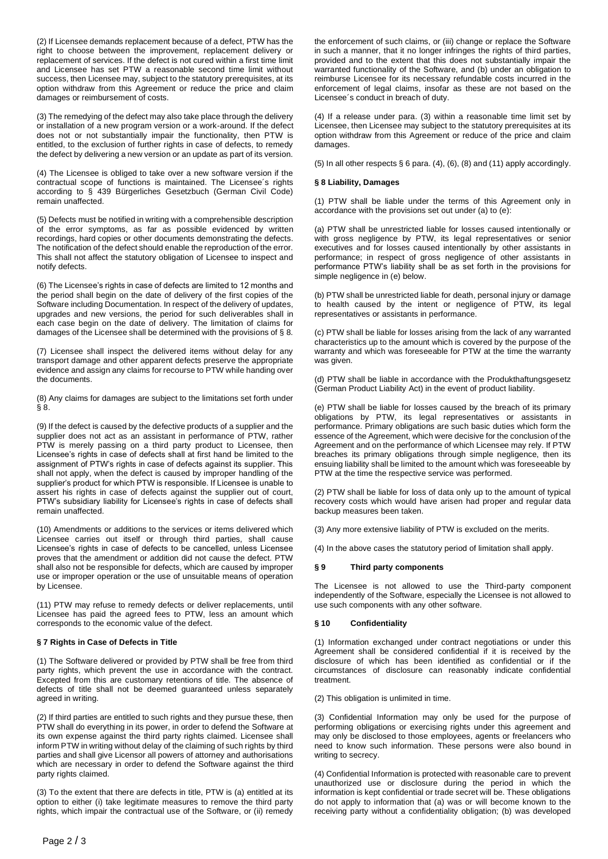(2) If Licensee demands replacement because of a defect, PTW has the right to choose between the improvement, replacement delivery or replacement of services. If the defect is not cured within a first time limit and Licensee has set PTW a reasonable second time limit without success, then Licensee may, subject to the statutory prerequisites, at its option withdraw from this Agreement or reduce the price and claim damages or reimbursement of costs.

(3) The remedying of the defect may also take place through the delivery or installation of a new program version or a work-around. If the defect does not or not substantially impair the functionality, then PTW is entitled, to the exclusion of further rights in case of defects, to remedy the defect by delivering a new version or an update as part of its version.

(4) The Licensee is obliged to take over a new software version if the contractual scope of functions is maintained. The Licensee´s rights according to § 439 Bürgerliches Gesetzbuch (German Civil Code) remain unaffected.

(5) Defects must be notified in writing with a comprehensible description of the error symptoms, as far as possible evidenced by written recordings, hard copies or other documents demonstrating the defects. The notification of the defect should enable the reproduction of the error. This shall not affect the statutory obligation of Licensee to inspect and notify defects.

(6) The Licensee's rights in case of defects are limited to 12 months and the period shall begin on the date of delivery of the first copies of the Software including Documentation. In respect of the delivery of updates, upgrades and new versions, the period for such deliverables shall in each case begin on the date of delivery. The limitation of claims for damages of the Licensee shall be determined with the provisions of § 8.

(7) Licensee shall inspect the delivered items without delay for any transport damage and other apparent defects preserve the appropriate evidence and assign any claims for recourse to PTW while handing over the documents.

(8) Any claims for damages are subject to the limitations set forth under  $§ 8.$ 

(9) If the defect is caused by the defective products of a supplier and the supplier does not act as an assistant in performance of PTW, rather PTW is merely passing on a third party product to Licensee, then Licensee's rights in case of defects shall at first hand be limited to the assignment of PTW's rights in case of defects against its supplier. This shall not apply, when the defect is caused by improper handling of the supplier's product for which PTW is responsible. If Licensee is unable to assert his rights in case of defects against the supplier out of court, PTW's subsidiary liability for Licensee's rights in case of defects shall remain unaffected.

(10) Amendments or additions to the services or items delivered which Licensee carries out itself or through third parties, shall cause Licensee's rights in case of defects to be cancelled, unless Licensee proves that the amendment or addition did not cause the defect. PTW shall also not be responsible for defects, which are caused by improper use or improper operation or the use of unsuitable means of operation by Licensee.

(11) PTW may refuse to remedy defects or deliver replacements, until Licensee has paid the agreed fees to PTW, less an amount which corresponds to the economic value of the defect.

# **§ 7 Rights in Case of Defects in Title**

(1) The Software delivered or provided by PTW shall be free from third party rights, which prevent the use in accordance with the contract. Excepted from this are customary retentions of title. The absence of defects of title shall not be deemed guaranteed unless separately agreed in writing.

(2) If third parties are entitled to such rights and they pursue these, then PTW shall do everything in its power, in order to defend the Software at its own expense against the third party rights claimed. Licensee shall inform PTW in writing without delay of the claiming of such rights by third parties and shall give Licensor all powers of attorney and authorisations which are necessary in order to defend the Software against the third party rights claimed.

(3) To the extent that there are defects in title, PTW is (a) entitled at its option to either (i) take legitimate measures to remove the third party rights, which impair the contractual use of the Software, or (ii) remedy the enforcement of such claims, or (iii) change or replace the Software in such a manner, that it no longer infringes the rights of third parties, provided and to the extent that this does not substantially impair the warranted functionality of the Software, and (b) under an obligation to reimburse Licensee for its necessary refundable costs incurred in the enforcement of legal claims, insofar as these are not based on the Licensee´s conduct in breach of duty.

(4) If a release under para. (3) within a reasonable time limit set by Licensee, then Licensee may subject to the statutory prerequisites at its option withdraw from this Agreement or reduce of the price and claim damages.

(5) In all other respects § 6 para. (4), (6), (8) and (11) apply accordingly.

# **§ 8 Liability, Damages**

(1) PTW shall be liable under the terms of this Agreement only in accordance with the provisions set out under (a) to (e):

(a) PTW shall be unrestricted liable for losses caused intentionally or with gross negligence by PTW, its legal representatives or senior executives and for losses caused intentionally by other assistants in performance; in respect of gross negligence of other assistants in performance PTW's liability shall be as set forth in the provisions for simple negligence in (e) below.

(b) PTW shall be unrestricted liable for death, personal injury or damage to health caused by the intent or negligence of PTW, its legal representatives or assistants in performance.

(c) PTW shall be liable for losses arising from the lack of any warranted characteristics up to the amount which is covered by the purpose of the warranty and which was foreseeable for PTW at the time the warranty was given.

(d) PTW shall be liable in accordance with the Produkthaftungsgesetz (German Product Liability Act) in the event of product liability.

(e) PTW shall be liable for losses caused by the breach of its primary obligations by PTW, its legal representatives or assistants in performance. Primary obligations are such basic duties which form the essence of the Agreement, which were decisive for the conclusion of the Agreement and on the performance of which Licensee may rely. If PTW breaches its primary obligations through simple negligence, then its ensuing liability shall be limited to the amount which was foreseeable by PTW at the time the respective service was performed.

(2) PTW shall be liable for loss of data only up to the amount of typical recovery costs which would have arisen had proper and regular data backup measures been taken.

(3) Any more extensive liability of PTW is excluded on the merits.

(4) In the above cases the statutory period of limitation shall apply.

# **§ 9 Third party components**

The Licensee is not allowed to use the Third-party component independently of the Software, especially the Licensee is not allowed to use such components with any other software.

# **§ 10 Confidentiality**

(1) Information exchanged under contract negotiations or under this Agreement shall be considered confidential if it is received by the disclosure of which has been identified as confidential or if the circumstances of disclosure can reasonably indicate confidential treatment.

(2) This obligation is unlimited in time.

(3) Confidential Information may only be used for the purpose of performing obligations or exercising rights under this agreement and may only be disclosed to those employees, agents or freelancers who need to know such information. These persons were also bound in writing to secrecy.

(4) Confidential Information is protected with reasonable care to prevent unauthorized use or disclosure during the period in which the information is kept confidential or trade secret will be. These obligations do not apply to information that (a) was or will become known to the receiving party without a confidentiality obligation; (b) was developed